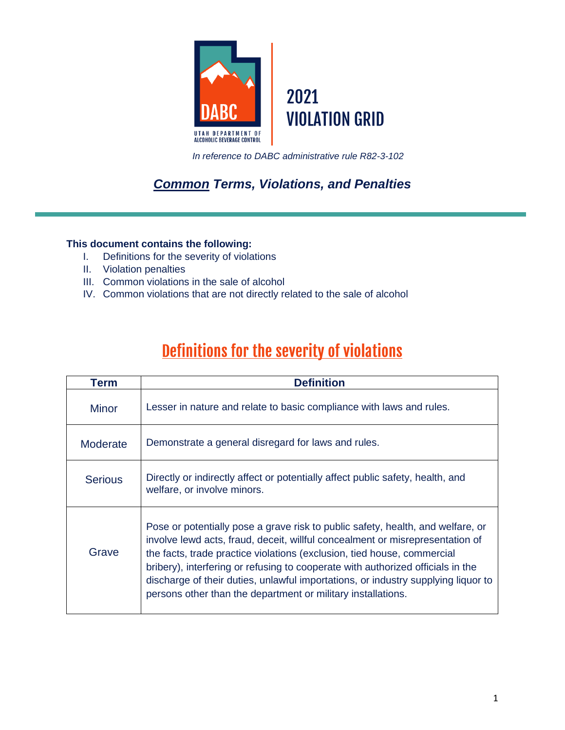

*In reference to DABC administrative rule R82-3-102*

# *Common Terms, Violations, and Penalties*

### **This document contains the following:**

- I. Definitions for the severity of violations
- II. Violation penalties
- III. Common violations in the sale of alcohol
- IV. Common violations that are not directly related to the sale of alcohol

# Definitions for the severity of violations

| Term            | <b>Definition</b>                                                                                                                                                                                                                                                                                                                                                                                                                                                                   |  |  |
|-----------------|-------------------------------------------------------------------------------------------------------------------------------------------------------------------------------------------------------------------------------------------------------------------------------------------------------------------------------------------------------------------------------------------------------------------------------------------------------------------------------------|--|--|
| <b>Minor</b>    | Lesser in nature and relate to basic compliance with laws and rules.                                                                                                                                                                                                                                                                                                                                                                                                                |  |  |
| <b>Moderate</b> | Demonstrate a general disregard for laws and rules.                                                                                                                                                                                                                                                                                                                                                                                                                                 |  |  |
| <b>Serious</b>  | Directly or indirectly affect or potentially affect public safety, health, and<br>welfare, or involve minors.                                                                                                                                                                                                                                                                                                                                                                       |  |  |
| Grave           | Pose or potentially pose a grave risk to public safety, health, and welfare, or<br>involve lewd acts, fraud, deceit, willful concealment or misrepresentation of<br>the facts, trade practice violations (exclusion, tied house, commercial<br>bribery), interfering or refusing to cooperate with authorized officials in the<br>discharge of their duties, unlawful importations, or industry supplying liquor to<br>persons other than the department or military installations. |  |  |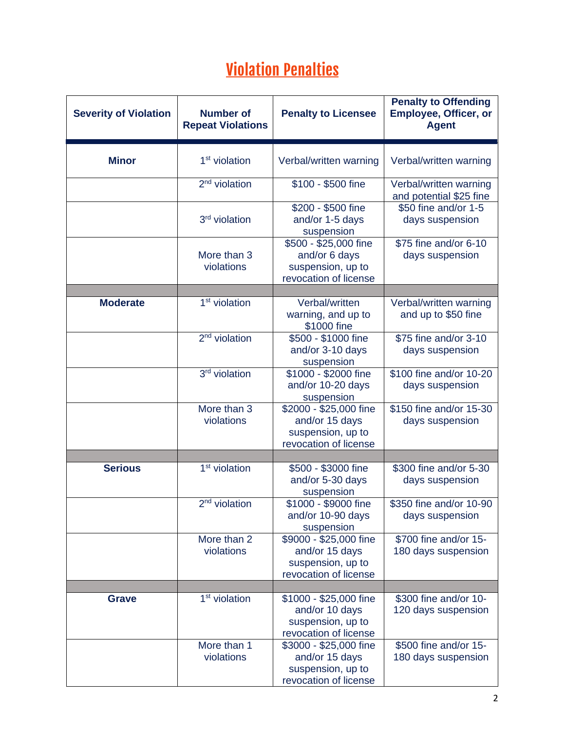# **Violation Penalties**

| <b>Severity of Violation</b> | <b>Number of</b><br><b>Repeat Violations</b> | <b>Penalty to Licensee</b>                                                             | <b>Penalty to Offending</b><br><b>Employee, Officer, or</b><br><b>Agent</b> |
|------------------------------|----------------------------------------------|----------------------------------------------------------------------------------------|-----------------------------------------------------------------------------|
| <b>Minor</b>                 | 1 <sup>st</sup> violation                    | Verbal/written warning                                                                 | Verbal/written warning                                                      |
|                              | 2 <sup>nd</sup> violation                    | \$100 - \$500 fine                                                                     | Verbal/written warning<br>and potential \$25 fine                           |
|                              | 3 <sup>rd</sup> violation                    | \$200 - \$500 fine<br>and/or 1-5 days<br>suspension                                    | \$50 fine and/or 1-5<br>days suspension                                     |
|                              | More than 3<br>violations                    | \$500 - \$25,000 fine<br>and/or 6 days<br>suspension, up to<br>revocation of license   | \$75 fine and/or 6-10<br>days suspension                                    |
|                              |                                              |                                                                                        |                                                                             |
| <b>Moderate</b>              | 1 <sup>st</sup> violation                    | Verbal/written<br>warning, and up to<br>\$1000 fine                                    | Verbal/written warning<br>and up to \$50 fine                               |
|                              | $2nd$ violation                              | \$500 - \$1000 fine<br>and/or 3-10 days<br>suspension                                  | \$75 fine and/or 3-10<br>days suspension                                    |
|                              | 3 <sup>rd</sup> violation                    | \$1000 - \$2000 fine<br>and/or 10-20 days<br>suspension                                | \$100 fine and/or 10-20<br>days suspension                                  |
|                              | More than 3<br>violations                    | \$2000 - \$25,000 fine<br>and/or 15 days<br>suspension, up to<br>revocation of license | \$150 fine and/or 15-30<br>days suspension                                  |
|                              |                                              |                                                                                        |                                                                             |
| <b>Serious</b>               | 1 <sup>st</sup> violation                    | \$500 - \$3000 fine<br>and/or 5-30 days<br>suspension                                  | \$300 fine and/or 5-30<br>days suspension                                   |
|                              | $2nd$ violation                              | \$1000 - \$9000 fine<br>and/or 10-90 days<br>suspension                                | \$350 fine and/or 10-90<br>days suspension                                  |
|                              | More than 2<br>violations                    | \$9000 - \$25,000 fine<br>and/or 15 days<br>suspension, up to<br>revocation of license | \$700 fine and/or 15-<br>180 days suspension                                |
|                              |                                              |                                                                                        |                                                                             |
| <b>Grave</b>                 | 1 <sup>st</sup> violation                    | \$1000 - \$25,000 fine<br>and/or 10 days<br>suspension, up to<br>revocation of license | \$300 fine and/or 10-<br>120 days suspension                                |
|                              | More than 1<br>violations                    | \$3000 - \$25,000 fine<br>and/or 15 days<br>suspension, up to<br>revocation of license | \$500 fine and/or 15-<br>180 days suspension                                |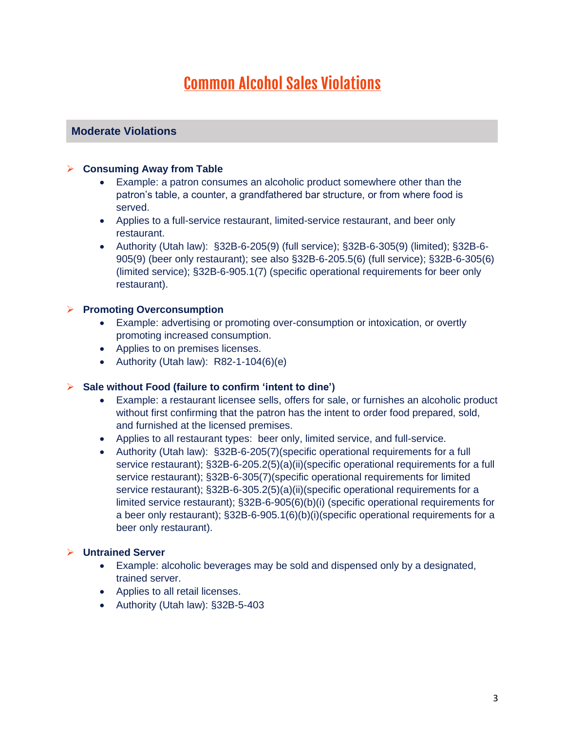# **Common Alcohol Sales Violations**

# **Moderate Violations**

#### ➢ **Consuming Away from Table**

- Example: a patron consumes an alcoholic product somewhere other than the patron's table, a counter, a grandfathered bar structure, or from where food is served.
- Applies to a full-service restaurant, limited-service restaurant, and beer only restaurant.
- Authority (Utah law): §32B-6-205(9) (full service); §32B-6-305(9) (limited); §32B-6- 905(9) (beer only restaurant); see also §32B-6-205.5(6) (full service); §32B-6-305(6) (limited service); §32B-6-905.1(7) (specific operational requirements for beer only restaurant).

#### ➢ **Promoting Overconsumption**

- Example: advertising or promoting over-consumption or intoxication, or overtly promoting increased consumption.
- Applies to on premises licenses.
- Authority (Utah law):  $R82-1-104(6)(e)$

#### ➢ **Sale without Food (failure to confirm 'intent to dine')**

- Example: a restaurant licensee sells, offers for sale, or furnishes an alcoholic product without first confirming that the patron has the intent to order food prepared, sold, and furnished at the licensed premises.
- Applies to all restaurant types: beer only, limited service, and full-service.
- Authority (Utah law): §32B-6-205(7)(specific operational requirements for a full service restaurant); §32B-6-205.2(5)(a)(ii)(specific operational requirements for a full service restaurant); §32B-6-305(7)(specific operational requirements for limited service restaurant); §32B-6-305.2(5)(a)(ii)(specific operational requirements for a limited service restaurant); §32B-6-905(6)(b)(i) (specific operational requirements for a beer only restaurant); §32B-6-905.1(6)(b)(i)(specific operational requirements for a beer only restaurant).

#### ➢ **Untrained Server**

- Example: alcoholic beverages may be sold and dispensed only by a designated, trained server.
- Applies to all retail licenses.
- Authority (Utah law): §32B-5-403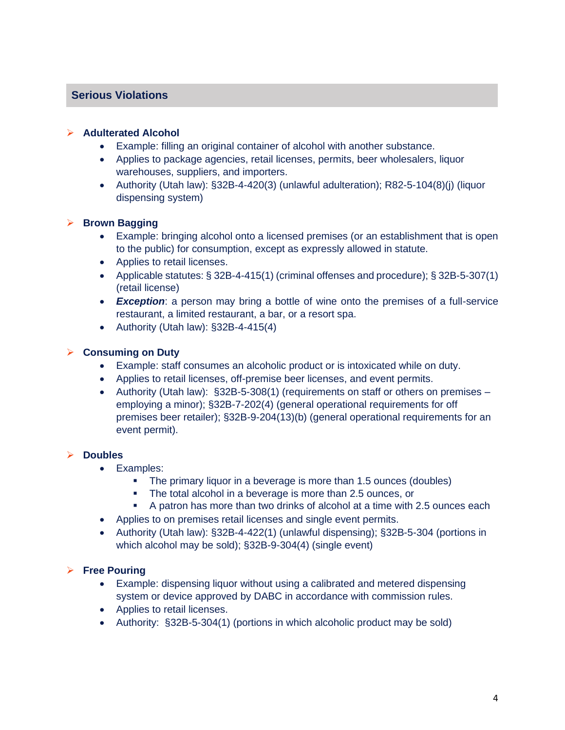# **Serious Violations**

#### ➢ **Adulterated Alcohol**

- Example: filling an original container of alcohol with another substance.
- Applies to package agencies, retail licenses, permits, beer wholesalers, liquor warehouses, suppliers, and importers.
- Authority (Utah law): §32B-4-420(3) (unlawful adulteration); R82-5-104(8)(j) (liquor dispensing system)

#### ➢ **Brown Bagging**

- Example: bringing alcohol onto a licensed premises (or an establishment that is open to the public) for consumption, except as expressly allowed in statute.
- Applies to retail licenses.
- Applicable statutes: § 32B-4-415(1) (criminal offenses and procedure); § 32B-5-307(1) (retail license)
- *Exception*: a person may bring a bottle of wine onto the premises of a full-service restaurant, a limited restaurant, a bar, or a resort spa.
- Authority (Utah law): §32B-4-415(4)

#### ➢ **Consuming on Duty**

- Example: staff consumes an alcoholic product or is intoxicated while on duty.
- Applies to retail licenses, off-premise beer licenses, and event permits.
- Authority (Utah law):  $$32B-5-308(1)$  (requirements on staff or others on premises employing a minor); §32B-7-202(4) (general operational requirements for off premises beer retailer); §32B-9-204(13)(b) (general operational requirements for an event permit).

#### ➢ **Doubles**

- Examples:
	- **•** The primary liquor in a beverage is more than 1.5 ounces (doubles)
	- The total alcohol in a beverage is more than 2.5 ounces, or
	- A patron has more than two drinks of alcohol at a time with 2.5 ounces each
- Applies to on premises retail licenses and single event permits.
- Authority (Utah law): §32B-4-422(1) (unlawful dispensing); §32B-5-304 (portions in which alcohol may be sold); §32B-9-304(4) (single event)

#### ➢ **Free Pouring**

- Example: dispensing liquor without using a calibrated and metered dispensing system or device approved by DABC in accordance with commission rules.
- Applies to retail licenses.
- Authority: §32B-5-304(1) (portions in which alcoholic product may be sold)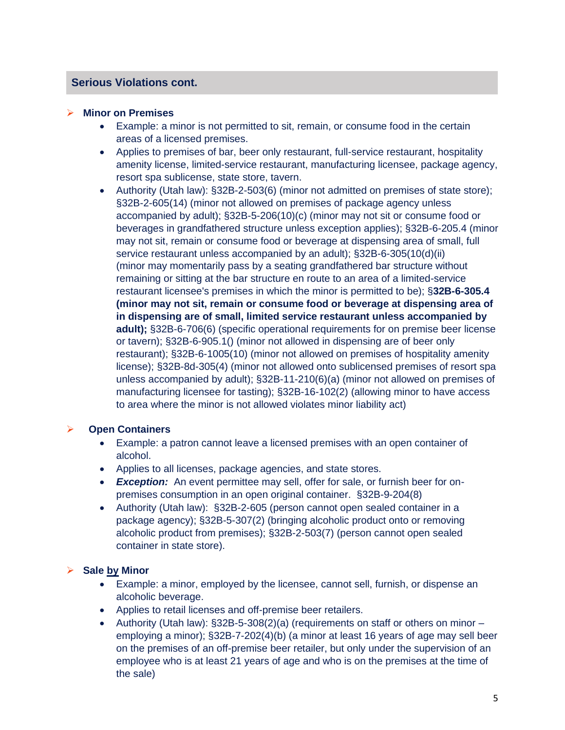### **Serious Violations cont.**

#### ➢ **Minor on Premises**

- Example: a minor is not permitted to sit, remain, or consume food in the certain areas of a licensed premises.
- Applies to premises of bar, beer only restaurant, full-service restaurant, hospitality amenity license, limited-service restaurant, manufacturing licensee, package agency, resort spa sublicense, state store, tavern.
- Authority (Utah law): §32B-2-503(6) (minor not admitted on premises of state store); §32B-2-605(14) (minor not allowed on premises of package agency unless accompanied by adult); §32B-5-206(10)(c) (minor may not sit or consume food or beverages in grandfathered structure unless exception applies); §32B-6-205.4 (minor may not sit, remain or consume food or beverage at dispensing area of small, full service restaurant unless accompanied by an adult); §32B-6-305(10(d)(ii) (minor may momentarily pass by a seating grandfathered bar structure without remaining or sitting at the bar structure en route to an area of a limited-service restaurant licensee's premises in which the minor is permitted to be); §**32B-6-305.4 (minor may not sit, remain or consume food or beverage at dispensing area of in dispensing are of small, limited service restaurant unless accompanied by adult);** §32B-6-706(6) (specific operational requirements for on premise beer license or tavern); §32B-6-905.1() (minor not allowed in dispensing are of beer only restaurant); §32B-6-1005(10) (minor not allowed on premises of hospitality amenity license); §32B-8d-305(4) (minor not allowed onto sublicensed premises of resort spa unless accompanied by adult); §32B-11-210(6)(a) (minor not allowed on premises of manufacturing licensee for tasting); §32B-16-102(2) (allowing minor to have access to area where the minor is not allowed violates minor liability act)

#### ➢ **Open Containers**

- Example: a patron cannot leave a licensed premises with an open container of alcohol.
- Applies to all licenses, package agencies, and state stores.
- *Exception:* An event permittee may sell, offer for sale, or furnish beer for onpremises consumption in an open original container. §32B-9-204(8)
- Authority (Utah law): §32B-2-605 (person cannot open sealed container in a package agency); §32B-5-307(2) (bringing alcoholic product onto or removing alcoholic product from premises); §32B-2-503(7) (person cannot open sealed container in state store).

#### ➢ **Sale by Minor**

- Example: a minor, employed by the licensee, cannot sell, furnish, or dispense an alcoholic beverage.
- Applies to retail licenses and off-premise beer retailers.
- Authority (Utah law): §32B-5-308(2)(a) (requirements on staff or others on minor employing a minor); §32B-7-202(4)(b) (a minor at least 16 years of age may sell beer on the premises of an off-premise beer retailer, but only under the supervision of an employee who is at least 21 years of age and who is on the premises at the time of the sale)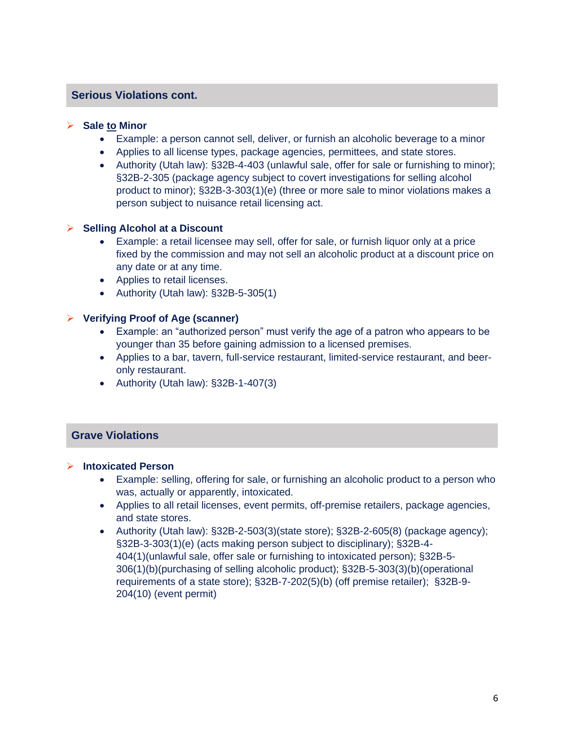# **Serious Violations cont.**

#### ➢ **Sale to Minor**

- Example: a person cannot sell, deliver, or furnish an alcoholic beverage to a minor
- Applies to all license types, package agencies, permittees, and state stores.
- Authority (Utah law): §32B-4-403 (unlawful sale, offer for sale or furnishing to minor): §32B-2-305 (package agency subject to covert investigations for selling alcohol product to minor); §32B-3-303(1)(e) (three or more sale to minor violations makes a person subject to nuisance retail licensing act.

#### ➢ **Selling Alcohol at a Discount**

- Example: a retail licensee may sell, offer for sale, or furnish liquor only at a price fixed by the commission and may not sell an alcoholic product at a discount price on any date or at any time.
- Applies to retail licenses.
- Authority (Utah law): §32B-5-305(1)

#### ➢ **Verifying Proof of Age (scanner)**

- Example: an "authorized person" must verify the age of a patron who appears to be younger than 35 before gaining admission to a licensed premises.
- Applies to a bar, tavern, full-service restaurant, limited-service restaurant, and beeronly restaurant.
- Authority (Utah law): §32B-1-407(3)

# **Grave Violations**

#### ➢ **Intoxicated Person**

- Example: selling, offering for sale, or furnishing an alcoholic product to a person who was, actually or apparently, intoxicated.
- Applies to all retail licenses, event permits, off-premise retailers, package agencies, and state stores.
- Authority (Utah law): §32B-2-503(3)(state store); §32B-2-605(8) (package agency); §32B-3-303(1)(e) (acts making person subject to disciplinary); §32B-4- 404(1)(unlawful sale, offer sale or furnishing to intoxicated person); §32B-5- 306(1)(b)(purchasing of selling alcoholic product); §32B-5-303(3)(b)(operational requirements of a state store); §32B-7-202(5)(b) (off premise retailer); §32B-9- 204(10) (event permit)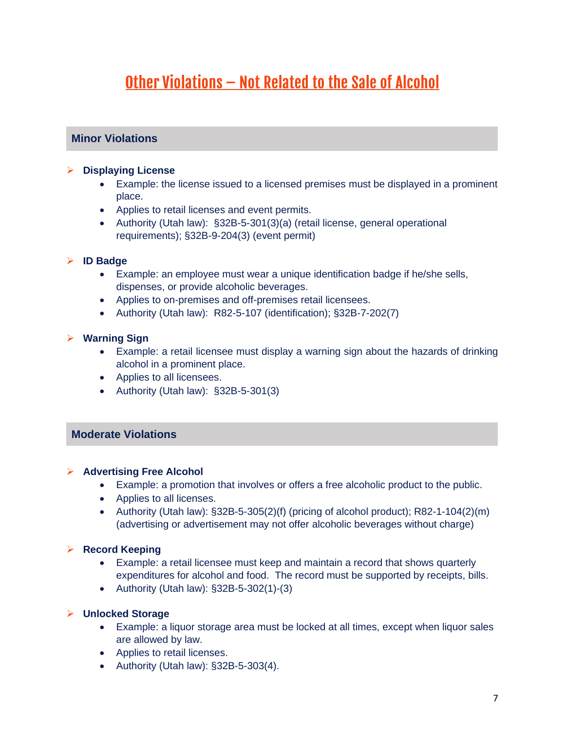# <u> Other Violations - Not Related to the Sale of Alcohol</u>

# **Minor Violations**

#### ➢ **Displaying License**

- Example: the license issued to a licensed premises must be displayed in a prominent place.
- Applies to retail licenses and event permits.
- Authority (Utah law): §32B-5-301(3)(a) (retail license, general operational requirements); §32B-9-204(3) (event permit)

#### ➢ **ID Badge**

- Example: an employee must wear a unique identification badge if he/she sells, dispenses, or provide alcoholic beverages.
- Applies to on-premises and off-premises retail licensees.
- Authority (Utah law): R82-5-107 (identification); §32B-7-202(7)

#### ➢ **Warning Sign**

- Example: a retail licensee must display a warning sign about the hazards of drinking alcohol in a prominent place.
- Applies to all licensees.
- Authority (Utah law): §32B-5-301(3)

# **Moderate Violations**

#### ➢ **Advertising Free Alcohol**

- Example: a promotion that involves or offers a free alcoholic product to the public.
- Applies to all licenses.
- Authority (Utah law):  $\S32B-5-305(2)$  (f) (pricing of alcohol product); R82-1-104(2)(m) (advertising or advertisement may not offer alcoholic beverages without charge)

#### ➢ **Record Keeping**

- Example: a retail licensee must keep and maintain a record that shows quarterly expenditures for alcohol and food. The record must be supported by receipts, bills.
- Authority (Utah law): §32B-5-302(1)-(3)

#### ➢ **Unlocked Storage**

- Example: a liquor storage area must be locked at all times, except when liquor sales are allowed by law.
- Applies to retail licenses.
- Authority (Utah law): §32B-5-303(4).